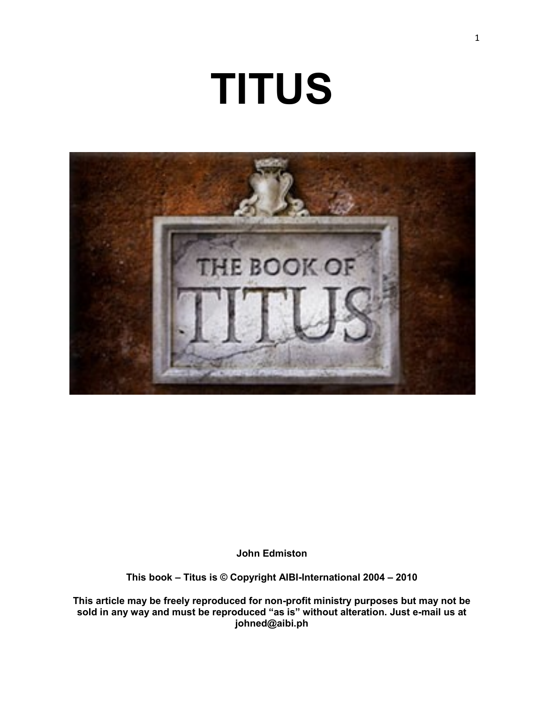# **TITUS**



**John Edmiston**

**This book – Titus is © Copyright AIBI-International 2004 – 2010**

**This article may be freely reproduced for non-profit ministry purposes but may not be sold in any way and must be reproduced "as is" without alteration. Just e-mail us at johned@aibi.ph**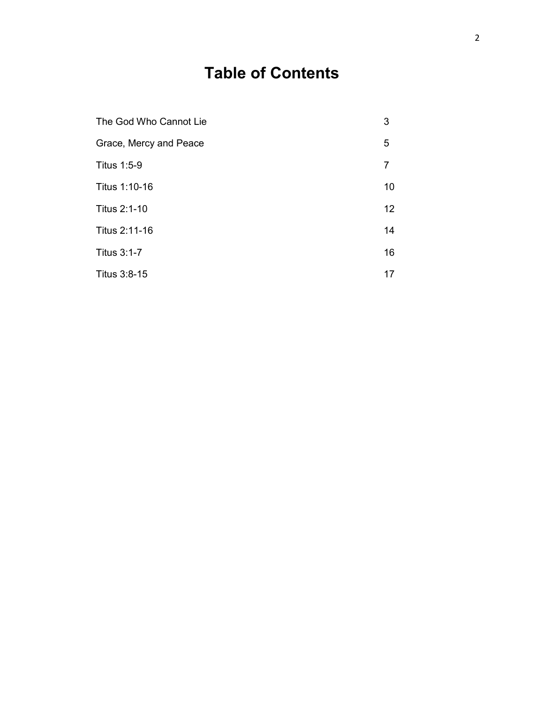## **Table of Contents**

| The God Who Cannot Lie | 3  |
|------------------------|----|
| Grace, Mercy and Peace | 5  |
| Titus 1:5-9            | 7  |
| Titus 1:10-16          | 10 |
| Titus 2:1-10           | 12 |
| Titus 2:11-16          | 14 |
| <b>Titus 3:1-7</b>     | 16 |
| Titus 3:8-15           | 17 |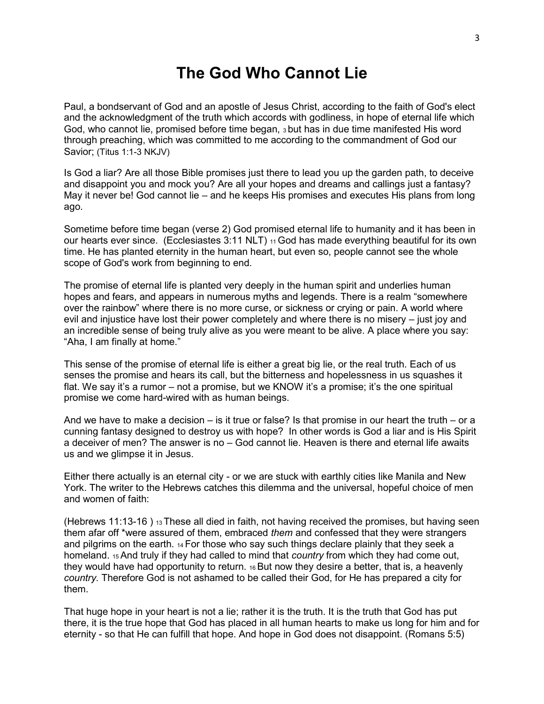## **The God Who Cannot Lie**

Paul, a bondservant of God and an apostle of Jesus Christ, according to the faith of God's elect and the acknowledgment of the truth which accords with godliness, in hope of eternal life which God, who cannot lie, promised before time began, 3 but has in due time manifested His word through preaching, which was committed to me according to the commandment of God our Savior; (Titus 1:1-3 NKJV)

Is God a liar? Are all those Bible promises just there to lead you up the garden path, to deceive and disappoint you and mock you? Are all your hopes and dreams and callings just a fantasy? May it never be! God cannot lie – and he keeps His promises and executes His plans from long ago.

Sometime before time began (verse 2) God promised eternal life to humanity and it has been in our hearts ever since. (Ecclesiastes 3:11 NLT) 11 God has made everything beautiful for its own time. He has planted eternity in the human heart, but even so, people cannot see the whole scope of God's work from beginning to end.

The promise of eternal life is planted very deeply in the human spirit and underlies human hopes and fears, and appears in numerous myths and legends. There is a realm "somewhere over the rainbow" where there is no more curse, or sickness or crying or pain. A world where evil and injustice have lost their power completely and where there is no misery – just joy and an incredible sense of being truly alive as you were meant to be alive. A place where you say: "Aha, I am finally at home."

This sense of the promise of eternal life is either a great big lie, or the real truth. Each of us senses the promise and hears its call, but the bitterness and hopelessness in us squashes it flat. We say it's a rumor – not a promise, but we KNOW it's a promise; it's the one spiritual promise we come hard-wired with as human beings.

And we have to make a decision – is it true or false? Is that promise in our heart the truth – or a cunning fantasy designed to destroy us with hope? In other words is God a liar and is His Spirit a deceiver of men? The answer is no – God cannot lie. Heaven is there and eternal life awaits us and we glimpse it in Jesus.

Either there actually is an eternal city - or we are stuck with earthly cities like Manila and New York. The writer to the Hebrews catches this dilemma and the universal, hopeful choice of men and women of faith:

(Hebrews 11:13-16 ) 13 These all died in faith, not having received the promises, but having seen them afar off \*were assured of them, embraced *them* and confessed that they were strangers and pilgrims on the earth. 14 For those who say such things declare plainly that they seek a homeland. 15 And truly if they had called to mind that *country* from which they had come out, they would have had opportunity to return. 16 But now they desire a better, that is, a heavenly *country.* Therefore God is not ashamed to be called their God, for He has prepared a city for them.

That huge hope in your heart is not a lie; rather it is the truth. It is the truth that God has put there, it is the true hope that God has placed in all human hearts to make us long for him and for eternity - so that He can fulfill that hope. And hope in God does not disappoint. (Romans 5:5)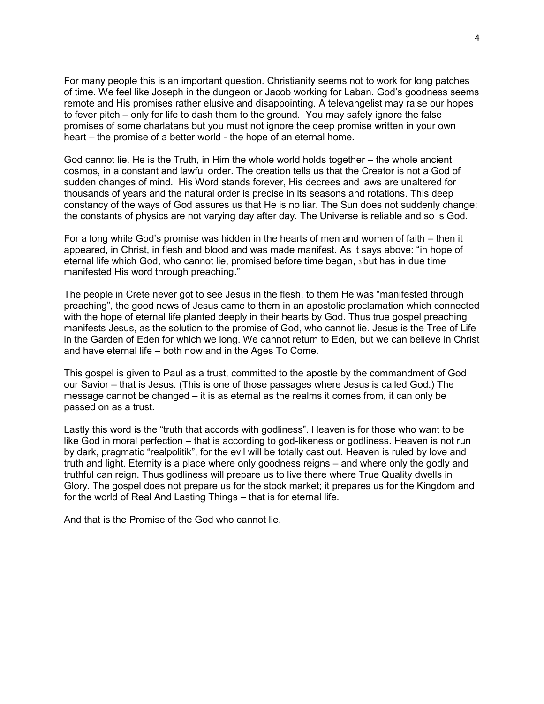For many people this is an important question. Christianity seems not to work for long patches of time. We feel like Joseph in the dungeon or Jacob working for Laban. God's goodness seems remote and His promises rather elusive and disappointing. A televangelist may raise our hopes to fever pitch – only for life to dash them to the ground. You may safely ignore the false promises of some charlatans but you must not ignore the deep promise written in your own heart – the promise of a better world - the hope of an eternal home.

God cannot lie. He is the Truth, in Him the whole world holds together – the whole ancient cosmos, in a constant and lawful order. The creation tells us that the Creator is not a God of sudden changes of mind. His Word stands forever, His decrees and laws are unaltered for thousands of years and the natural order is precise in its seasons and rotations. This deep constancy of the ways of God assures us that He is no liar. The Sun does not suddenly change; the constants of physics are not varying day after day. The Universe is reliable and so is God.

For a long while God's promise was hidden in the hearts of men and women of faith – then it appeared, in Christ, in flesh and blood and was made manifest. As it says above: "in hope of eternal life which God, who cannot lie, promised before time began, 3 but has in due time manifested His word through preaching."

The people in Crete never got to see Jesus in the flesh, to them He was "manifested through preaching", the good news of Jesus came to them in an apostolic proclamation which connected with the hope of eternal life planted deeply in their hearts by God. Thus true gospel preaching manifests Jesus, as the solution to the promise of God, who cannot lie. Jesus is the Tree of Life in the Garden of Eden for which we long. We cannot return to Eden, but we can believe in Christ and have eternal life – both now and in the Ages To Come.

This gospel is given to Paul as a trust, committed to the apostle by the commandment of God our Savior – that is Jesus. (This is one of those passages where Jesus is called God.) The message cannot be changed – it is as eternal as the realms it comes from, it can only be passed on as a trust.

Lastly this word is the "truth that accords with godliness". Heaven is for those who want to be like God in moral perfection – that is according to god-likeness or godliness. Heaven is not run by dark, pragmatic "realpolitik", for the evil will be totally cast out. Heaven is ruled by love and truth and light. Eternity is a place where only goodness reigns – and where only the godly and truthful can reign. Thus godliness will prepare us to live there where True Quality dwells in Glory. The gospel does not prepare us for the stock market; it prepares us for the Kingdom and for the world of Real And Lasting Things – that is for eternal life.

And that is the Promise of the God who cannot lie.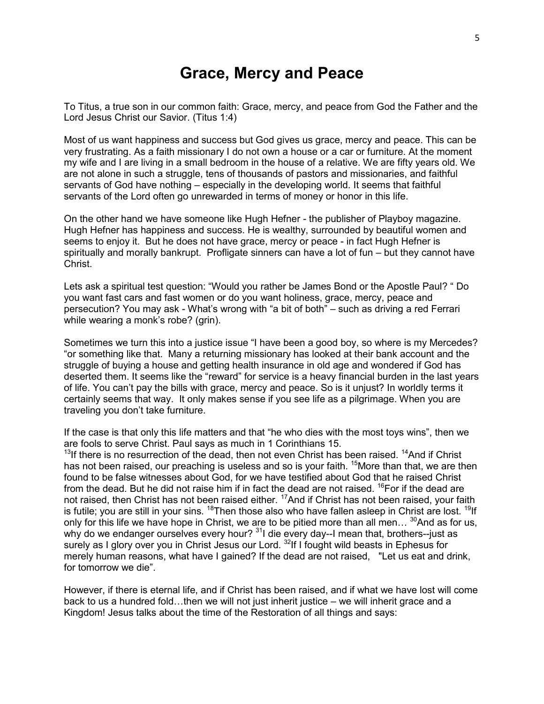## **Grace, Mercy and Peace**

To Titus, a true son in our common faith: Grace, mercy, and peace from God the Father and the Lord Jesus Christ our Savior. (Titus 1:4)

Most of us want happiness and success but God gives us grace, mercy and peace. This can be very frustrating. As a faith missionary I do not own a house or a car or furniture. At the moment my wife and I are living in a small bedroom in the house of a relative. We are fifty years old. We are not alone in such a struggle, tens of thousands of pastors and missionaries, and faithful servants of God have nothing – especially in the developing world. It seems that faithful servants of the Lord often go unrewarded in terms of money or honor in this life.

On the other hand we have someone like Hugh Hefner - the publisher of Playboy magazine. Hugh Hefner has happiness and success. He is wealthy, surrounded by beautiful women and seems to enjoy it. But he does not have grace, mercy or peace - in fact Hugh Hefner is spiritually and morally bankrupt. Profligate sinners can have a lot of fun – but they cannot have Christ.

Lets ask a spiritual test question: "Would you rather be James Bond or the Apostle Paul? " Do you want fast cars and fast women or do you want holiness, grace, mercy, peace and persecution? You may ask - What's wrong with "a bit of both" – such as driving a red Ferrari while wearing a monk's robe? (grin).

Sometimes we turn this into a justice issue "I have been a good boy, so where is my Mercedes? "or something like that. Many a returning missionary has looked at their bank account and the struggle of buying a house and getting health insurance in old age and wondered if God has deserted them. It seems like the "reward" for service is a heavy financial burden in the last years of life. You can't pay the bills with grace, mercy and peace. So is it unjust? In worldly terms it certainly seems that way. It only makes sense if you see life as a pilgrimage. When you are traveling you don't take furniture.

If the case is that only this life matters and that "he who dies with the most toys wins", then we are fools to serve Christ. Paul says as much in 1 Corinthians 15.

 $13$ If there is no resurrection of the dead, then not even Christ has been raised.  $14$ And if Christ has not been raised, our preaching is useless and so is your faith. <sup>15</sup>More than that, we are then found to be false witnesses about God, for we have testified about God that he raised Christ from the dead. But he did not raise him if in fact the dead are not raised.  $^{16}$ For if the dead are not raised, then Christ has not been raised either. <sup>17</sup>And if Christ has not been raised, your faith is futile; you are still in your sins. <sup>18</sup>Then those also who have fallen asleep in Christ are lost. <sup>19</sup>If only for this life we have hope in Christ, we are to be pitied more than all men...  $^{30}$ And as for us, why do we endanger ourselves every hour? <sup>31</sup>I die every day--I mean that, brothers--just as surely as I glory over you in Christ Jesus our Lord. <sup>32</sup>If I fought wild beasts in Ephesus for merely human reasons, what have I gained? If the dead are not raised, "Let us eat and drink, for tomorrow we die".

However, if there is eternal life, and if Christ has been raised, and if what we have lost will come back to us a hundred fold...then we will not just inherit justice – we will inherit grace and a Kingdom! Jesus talks about the time of the Restoration of all things and says: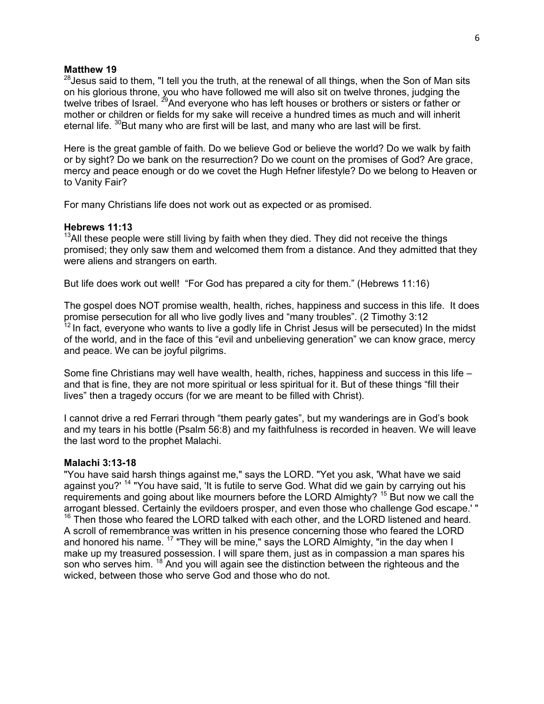#### **Matthew 19**

 $28$  Jesus said to them, "I tell you the truth, at the renewal of all things, when the Son of Man sits on his glorious throne, you who have followed me will also sit on twelve thrones, judging the twelve tribes of Israel. <sup>29</sup>And everyone who has left houses or brothers or sisters or father or mother or children or fields for my sake will receive a hundred times as much and will inherit eternal life.  $\frac{30}{8}$ But many who are first will be last, and many who are last will be first.

Here is the great gamble of faith. Do we believe God or believe the world? Do we walk by faith or by sight? Do we bank on the resurrection? Do we count on the promises of God? Are grace, mercy and peace enough or do we covet the Hugh Hefner lifestyle? Do we belong to Heaven or to Vanity Fair?

For many Christians life does not work out as expected or as promised.

#### **Hebrews 11:13**

 $13$ All these people were still living by faith when they died. They did not receive the things promised; they only saw them and welcomed them from a distance. And they admitted that they were aliens and strangers on earth.

But life does work out well! "For God has prepared a city for them." (Hebrews 11:16)

The gospel does NOT promise wealth, health, riches, happiness and success in this life. It does promise persecution for all who live godly lives and "many troubles". (2 Timothy 3:12  $12$  In fact, everyone who wants to live a godly life in Christ Jesus will be persecuted) In the midst of the world, and in the face of this "evil and unbelieving generation" we can know grace, mercy and peace. We can be joyful pilgrims.

Some fine Christians may well have wealth, health, riches, happiness and success in this life – and that is fine, they are not more spiritual or less spiritual for it. But of these things "fill their lives" then a tragedy occurs (for we are meant to be filled with Christ).

I cannot drive a red Ferrari through "them pearly gates", but my wanderings are in God's book and my tears in his bottle (Psalm 56:8) and my faithfulness is recorded in heaven. We will leave the last word to the prophet Malachi.

#### **Malachi 3:13-18**

"You have said harsh things against me," says the LORD. "Yet you ask, 'What have we said against you?' <sup>14</sup> "You have said, 'It is futile to serve God. What did we gain by carrying out his requirements and going about like mourners before the LORD Almighty?  $15$  But now we call the arrogant blessed. Certainly the evildoers prosper, and even those who challenge God escape.' "  $16$  Then those who feared the LORD talked with each other, and the LORD listened and heard. A scroll of remembrance was written in his presence concerning those who feared the LORD and honored his name. <sup>17</sup> "They will be mine," says the LORD Almighty, "in the day when I make up my treasured possession. I will spare them, just as in compassion a man spares his son who serves him. <sup>18</sup> And you will again see the distinction between the righteous and the wicked, between those who serve God and those who do not.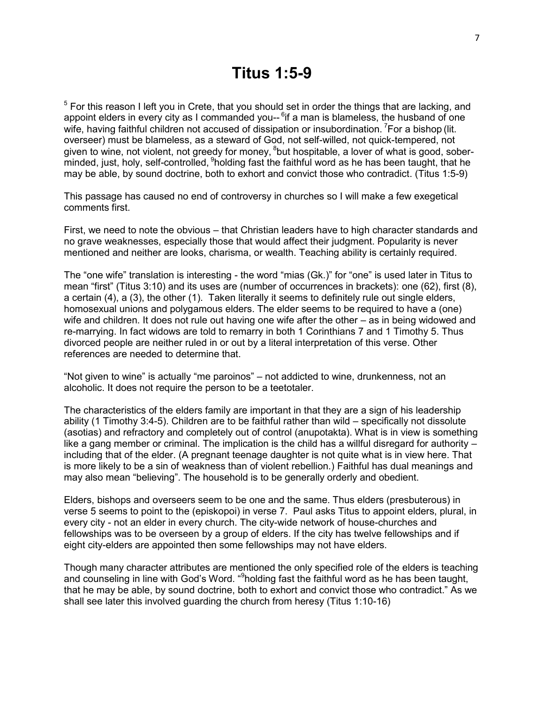## **Titus 1:5-9**

<sup>5</sup> For this reason I left you in Crete, that you should set in order the things that are lacking, and appoint elders in every city as I commanded you-- <sup>6</sup>if a man is blameless, the husband of one wife, having faithful children not accused of dissipation or insubordination.  $\epsilon$  For a bishop (lit. overseer) must be blameless, as a steward of God, not self-willed, not quick-tempered, not given to wine, not violent, not greedy for money, <sup>8</sup>but hospitable, a lover of what is good, soberminded, just, holy, self-controlled, <sup>9</sup>holding fast the faithful word as he has been taught, that he may be able, by sound doctrine, both to exhort and convict those who contradict. (Titus 1:5-9)

This passage has caused no end of controversy in churches so I will make a few exegetical comments first.

First, we need to note the obvious – that Christian leaders have to high character standards and no grave weaknesses, especially those that would affect their judgment. Popularity is never mentioned and neither are looks, charisma, or wealth. Teaching ability is certainly required.

The "one wife" translation is interesting - the word "mias (Gk.)" for "one" is used later in Titus to mean "first" (Titus 3:10) and its uses are (number of occurrences in brackets): one (62), first (8), a certain (4), a (3), the other (1). Taken literally it seems to definitely rule out single elders, homosexual unions and polygamous elders. The elder seems to be required to have a (one) wife and children. It does not rule out having one wife after the other – as in being widowed and re-marrying. In fact widows are told to remarry in both 1 Corinthians 7 and 1 Timothy 5. Thus divorced people are neither ruled in or out by a literal interpretation of this verse. Other references are needed to determine that.

"Not given to wine" is actually "me paroinos" – not addicted to wine, drunkenness, not an alcoholic. It does not require the person to be a teetotaler.

The characteristics of the elders family are important in that they are a sign of his leadership ability (1 Timothy 3:4-5). Children are to be faithful rather than wild – specifically not dissolute (asotias) and refractory and completely out of control (anupotakta). What is in view is something like a gang member or criminal. The implication is the child has a willful disregard for authority – including that of the elder. (A pregnant teenage daughter is not quite what is in view here. That is more likely to be a sin of weakness than of violent rebellion.) Faithful has dual meanings and may also mean "believing". The household is to be generally orderly and obedient.

Elders, bishops and overseers seem to be one and the same. Thus elders (presbuterous) in verse 5 seems to point to the (episkopoi) in verse 7. Paul asks Titus to appoint elders, plural, in every city - not an elder in every church. The city-wide network of house-churches and fellowships was to be overseen by a group of elders. If the city has twelve fellowships and if eight city-elders are appointed then some fellowships may not have elders.

Though many character attributes are mentioned the only specified role of the elders is teaching and counseling in line with God's Word. "<sup>9</sup>holding fast the faithful word as he has been taught, that he may be able, by sound doctrine, both to exhort and convict those who contradict." As we shall see later this involved guarding the church from heresy (Titus 1:10-16)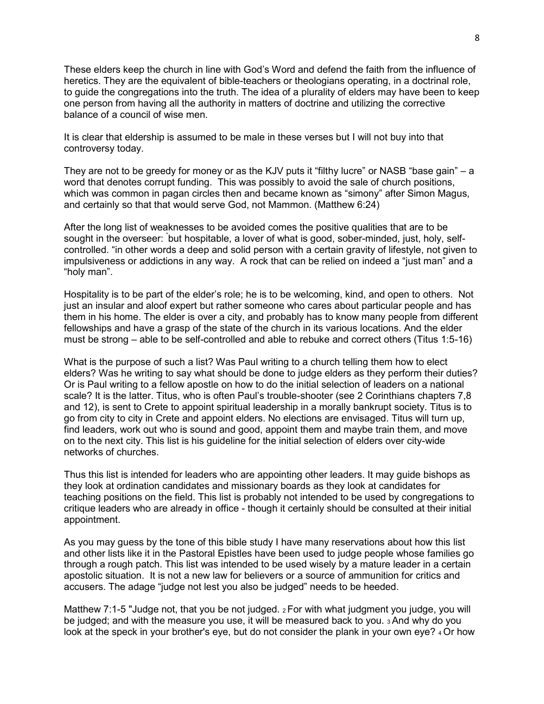These elders keep the church in line with God's Word and defend the faith from the influence of heretics. They are the equivalent of bible-teachers or theologians operating, in a doctrinal role, to guide the congregations into the truth. The idea of a plurality of elders may have been to keep one person from having all the authority in matters of doctrine and utilizing the corrective balance of a council of wise men.

It is clear that eldership is assumed to be male in these verses but I will not buy into that controversy today.

They are not to be greedy for money or as the KJV puts it "filthy lucre" or NASB "base gain" – a word that denotes corrupt funding. This was possibly to avoid the sale of church positions, which was common in pagan circles then and became known as "simony" after Simon Magus, and certainly so that that would serve God, not Mammon. (Matthew 6:24)

After the long list of weaknesses to be avoided comes the positive qualities that are to be sought in the overseer: "but hospitable, a lover of what is good, sober-minded, just, holy, selfcontrolled. "in other words a deep and solid person with a certain gravity of lifestyle, not given to impulsiveness or addictions in any way. A rock that can be relied on indeed a "just man" and a "holy man".

Hospitality is to be part of the elder's role; he is to be welcoming, kind, and open to others. Not just an insular and aloof expert but rather someone who cares about particular people and has them in his home. The elder is over a city, and probably has to know many people from different fellowships and have a grasp of the state of the church in its various locations. And the elder must be strong – able to be self-controlled and able to rebuke and correct others (Titus 1:5-16)

What is the purpose of such a list? Was Paul writing to a church telling them how to elect elders? Was he writing to say what should be done to judge elders as they perform their duties? Or is Paul writing to a fellow apostle on how to do the initial selection of leaders on a national scale? It is the latter. Titus, who is often Paul's trouble-shooter (see 2 Corinthians chapters 7,8 and 12), is sent to Crete to appoint spiritual leadership in a morally bankrupt society. Titus is to go from city to city in Crete and appoint elders. No elections are envisaged. Titus will turn up, find leaders, work out who is sound and good, appoint them and maybe train them, and move on to the next city. This list is his guideline for the initial selection of elders over city-wide networks of churches.

Thus this list is intended for leaders who are appointing other leaders. It may guide bishops as they look at ordination candidates and missionary boards as they look at candidates for teaching positions on the field. This list is probably not intended to be used by congregations to critique leaders who are already in office - though it certainly should be consulted at their initial appointment.

As you may guess by the tone of this bible study I have many reservations about how this list and other lists like it in the Pastoral Epistles have been used to judge people whose families go through a rough patch. This list was intended to be used wisely by a mature leader in a certain apostolic situation. It is not a new law for believers or a source of ammunition for critics and accusers. The adage "judge not lest you also be judged" needs to be heeded.

Matthew 7:1-5 "Judge not, that you be not judged.  $2$  For with what judgment you judge, you will be judged; and with the measure you use, it will be measured back to you. 3 And why do you look at the speck in your brother's eye, but do not consider the plank in your own eye? 4 Or how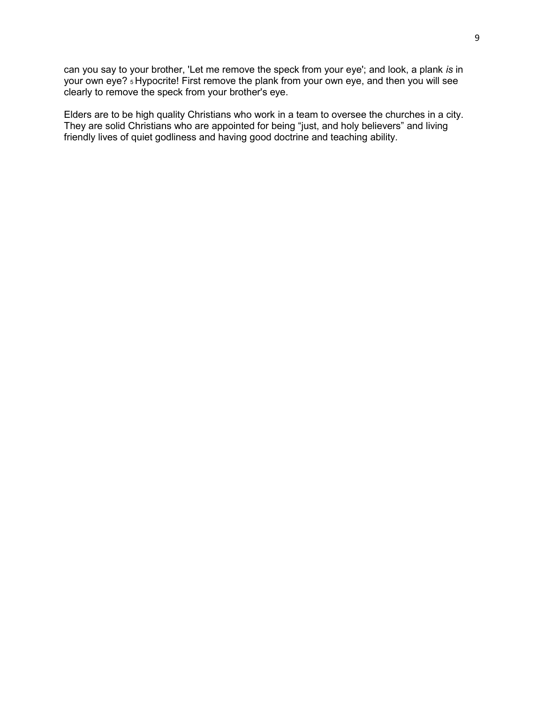can you say to your brother, 'Let me remove the speck from your eye'; and look, a plank *is* in your own eye? 5 Hypocrite! First remove the plank from your own eye, and then you will see clearly to remove the speck from your brother's eye.

Elders are to be high quality Christians who work in a team to oversee the churches in a city. They are solid Christians who are appointed for being "just, and holy believers" and living friendly lives of quiet godliness and having good doctrine and teaching ability.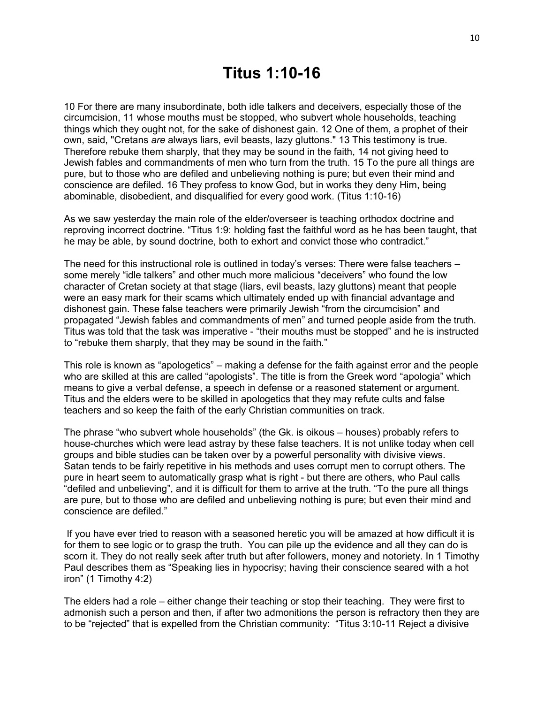10 For there are many insubordinate, both idle talkers and deceivers, especially those of the circumcision, 11 whose mouths must be stopped, who subvert whole households, teaching things which they ought not, for the sake of dishonest gain. 12 One of them, a prophet of their own, said, "Cretans *are* always liars, evil beasts, lazy gluttons." 13 This testimony is true. Therefore rebuke them sharply, that they may be sound in the faith, 14 not giving heed to Jewish fables and commandments of men who turn from the truth. 15 To the pure all things are pure, but to those who are defiled and unbelieving nothing is pure; but even their mind and conscience are defiled. 16 They profess to know God, but in works they deny Him, being abominable, disobedient, and disqualified for every good work. (Titus 1:10-16)

As we saw yesterday the main role of the elder/overseer is teaching orthodox doctrine and reproving incorrect doctrine. "Titus 1:9: holding fast the faithful word as he has been taught, that he may be able, by sound doctrine, both to exhort and convict those who contradict."

The need for this instructional role is outlined in today's verses: There were false teachers – some merely "idle talkers" and other much more malicious "deceivers" who found the low character of Cretan society at that stage (liars, evil beasts, lazy gluttons) meant that people were an easy mark for their scams which ultimately ended up with financial advantage and dishonest gain. These false teachers were primarily Jewish "from the circumcision" and propagated "Jewish fables and commandments of men" and turned people aside from the truth. Titus was told that the task was imperative - "their mouths must be stopped" and he is instructed to "rebuke them sharply, that they may be sound in the faith."

This role is known as "apologetics" – making a defense for the faith against error and the people who are skilled at this are called "apologists". The title is from the Greek word "apologia" which means to give a verbal defense, a speech in defense or a reasoned statement or argument. Titus and the elders were to be skilled in apologetics that they may refute cults and false teachers and so keep the faith of the early Christian communities on track.

The phrase "who subvert whole households" (the Gk. is oikous – houses) probably refers to house-churches which were lead astray by these false teachers. It is not unlike today when cell groups and bible studies can be taken over by a powerful personality with divisive views. Satan tends to be fairly repetitive in his methods and uses corrupt men to corrupt others. The pure in heart seem to automatically grasp what is right - but there are others, who Paul calls "defiled and unbelieving", and it is difficult for them to arrive at the truth. "To the pure all things are pure, but to those who are defiled and unbelieving nothing is pure; but even their mind and conscience are defiled."

If you have ever tried to reason with a seasoned heretic you will be amazed at how difficult it is for them to see logic or to grasp the truth. You can pile up the evidence and all they can do is scorn it. They do not really seek after truth but after followers, money and notoriety. In 1 Timothy Paul describes them as "Speaking lies in hypocrisy; having their conscience seared with a hot iron" (1 Timothy 4:2)

The elders had a role – either change their teaching or stop their teaching. They were first to admonish such a person and then, if after two admonitions the person is refractory then they are to be "rejected" that is expelled from the Christian community: "Titus 3:10-11 Reject a divisive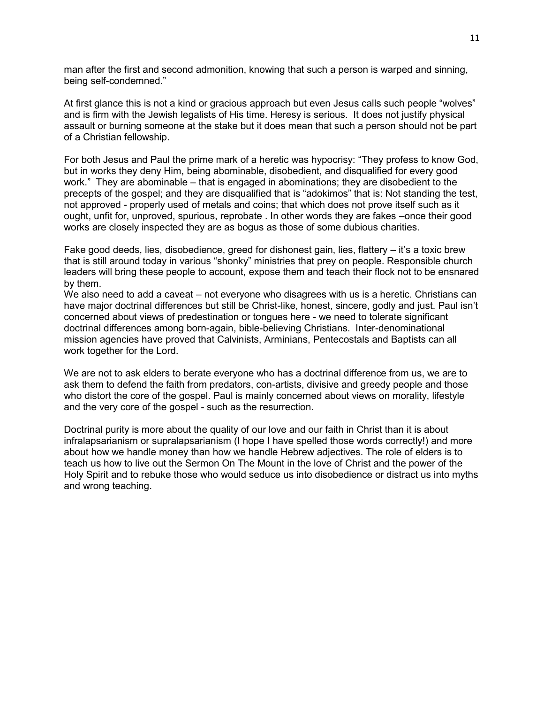man after the first and second admonition, knowing that such a person is warped and sinning, being self-condemned."

At first glance this is not a kind or gracious approach but even Jesus calls such people "wolves" and is firm with the Jewish legalists of His time. Heresy is serious. It does not justify physical assault or burning someone at the stake but it does mean that such a person should not be part of a Christian fellowship.

For both Jesus and Paul the prime mark of a heretic was hypocrisy: "They profess to know God, but in works they deny Him, being abominable, disobedient, and disqualified for every good work." They are abominable – that is engaged in abominations; they are disobedient to the precepts of the gospel; and they are disqualified that is "adokimos" that is: Not standing the test, not approved - properly used of metals and coins; that which does not prove itself such as it ought, unfit for, unproved, spurious, reprobate . In other words they are fakes –once their good works are closely inspected they are as bogus as those of some dubious charities.

Fake good deeds, lies, disobedience, greed for dishonest gain, lies, flattery – it's a toxic brew that is still around today in various "shonky" ministries that prey on people. Responsible church leaders will bring these people to account, expose them and teach their flock not to be ensnared by them.

We also need to add a caveat – not everyone who disagrees with us is a heretic. Christians can have major doctrinal differences but still be Christ-like, honest, sincere, godly and just. Paul isn't concerned about views of predestination or tongues here - we need to tolerate significant doctrinal differences among born-again, bible-believing Christians. Inter-denominational mission agencies have proved that Calvinists, Arminians, Pentecostals and Baptists can all work together for the Lord.

We are not to ask elders to berate everyone who has a doctrinal difference from us, we are to ask them to defend the faith from predators, con-artists, divisive and greedy people and those who distort the core of the gospel. Paul is mainly concerned about views on morality, lifestyle and the very core of the gospel - such as the resurrection.

Doctrinal purity is more about the quality of our love and our faith in Christ than it is about infralapsarianism or supralapsarianism (I hope I have spelled those words correctly!) and more about how we handle money than how we handle Hebrew adjectives. The role of elders is to teach us how to live out the Sermon On The Mount in the love of Christ and the power of the Holy Spirit and to rebuke those who would seduce us into disobedience or distract us into myths and wrong teaching.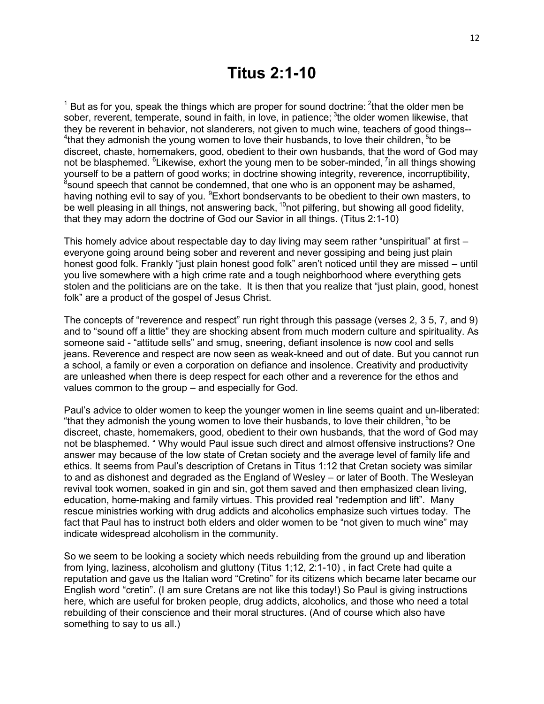$1$  But as for you, speak the things which are proper for sound doctrine:  $2$ that the older men be sober, reverent, temperate, sound in faith, in love, in patience; <sup>3</sup>the older women likewise, that they be reverent in behavior, not slanderers, not given to much wine, teachers of good things--  $4$ that they admonish the young women to love their husbands, to love their children,  $5$ to be discreet, chaste, homemakers, good, obedient to their own husbands, that the word of God may not be blasphemed.  $6$ Likewise, exhort the young men to be sober-minded,  $7$ in all things showing yourself to be a pattern of good works; in doctrine showing integrity, reverence, incorruptibility,<br><sup>8</sup>sound speech that cannot be condemned, that one who is an opponent may be ashamed, having nothing evil to say of you. <sup>9</sup>Exhort bondservants to be obedient to their own masters, to be well pleasing in all things, not answering back,  $10$ not pilfering, but showing all good fidelity, that they may adorn the doctrine of God our Savior in all things. (Titus 2:1-10)

This homely advice about respectable day to day living may seem rather "unspiritual" at first – everyone going around being sober and reverent and never gossiping and being just plain honest good folk. Frankly "just plain honest good folk" aren't noticed until they are missed – until you live somewhere with a high crime rate and a tough neighborhood where everything gets stolen and the politicians are on the take. It is then that you realize that "just plain, good, honest folk" are a product of the gospel of Jesus Christ.

The concepts of "reverence and respect" run right through this passage (verses 2, 3 5, 7, and 9) and to "sound off a little" they are shocking absent from much modern culture and spirituality. As someone said - "attitude sells" and smug, sneering, defiant insolence is now cool and sells jeans. Reverence and respect are now seen as weak-kneed and out of date. But you cannot run a school, a family or even a corporation on defiance and insolence. Creativity and productivity are unleashed when there is deep respect for each other and a reverence for the ethos and values common to the group – and especially for God.

Paul's advice to older women to keep the younger women in line seems quaint and un-liberated: "that they admonish the young women to love their husbands, to love their children, <sup>5</sup>to be discreet, chaste, homemakers, good, obedient to their own husbands, that the word of God may not be blasphemed. " Why would Paul issue such direct and almost offensive instructions? One answer may because of the low state of Cretan society and the average level of family life and ethics. It seems from Paul's description of Cretans in Titus 1:12 that Cretan society was similar to and as dishonest and degraded as the England of Wesley – or later of Booth. The Wesleyan revival took women, soaked in gin and sin, got them saved and then emphasized clean living, education, home-making and family virtues. This provided real "redemption and lift". Many rescue ministries working with drug addicts and alcoholics emphasize such virtues today. The fact that Paul has to instruct both elders and older women to be "not given to much wine" may indicate widespread alcoholism in the community.

So we seem to be looking a society which needs rebuilding from the ground up and liberation from lying, laziness, alcoholism and gluttony (Titus 1;12, 2:1-10) , in fact Crete had quite a reputation and gave us the Italian word "Cretino" for its citizens which became later became our English word "cretin". (I am sure Cretans are not like this today!) So Paul is giving instructions here, which are useful for broken people, drug addicts, alcoholics, and those who need a total rebuilding of their conscience and their moral structures. (And of course which also have something to say to us all.)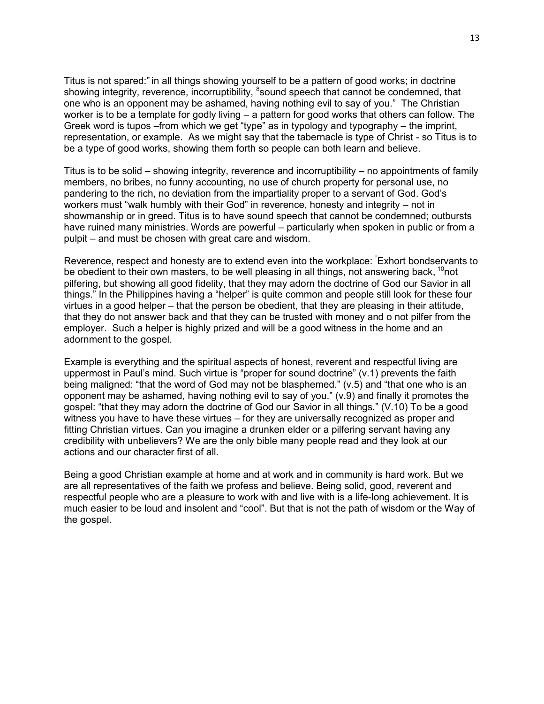Titus is not spared:" in all things showing yourself to be a pattern of good works; in doctrine showing integrity, reverence, incorruptibility, <sup>8</sup>sound speech that cannot be condemned, that one who is an opponent may be ashamed, having nothing evil to say of you." The Christian worker is to be a template for godly living – a pattern for good works that others can follow. The Greek word is tupos –from which we get "type" as in typology and typography – the imprint, representation, or example. As we might say that the tabernacle is type of Christ - so Titus is to be a type of good works, showing them forth so people can both learn and believe.

Titus is to be solid – showing integrity, reverence and incorruptibility – no appointments of family members, no bribes, no funny accounting, no use of church property for personal use, no pandering to the rich, no deviation from the impartiality proper to a servant of God. God's workers must "walk humbly with their God" in reverence, honesty and integrity – not in showmanship or in greed. Titus is to have sound speech that cannot be condemned; outbursts have ruined many ministries. Words are powerful – particularly when spoken in public or from a pulpit – and must be chosen with great care and wisdom.

Reverence, respect and honesty are to extend even into the workplace: "Exhort bondservants to be obedient to their own masters, to be well pleasing in all things, not answering back,  $10$ not pilfering, but showing all good fidelity, that they may adorn the doctrine of God our Savior in all things." In the Philippines having a "helper" is quite common and people still look for these four virtues in a good helper – that the person be obedient, that they are pleasing in their attitude, that they do not answer back and that they can be trusted with money and o not pilfer from the employer. Such a helper is highly prized and will be a good witness in the home and an adornment to the gospel.

Example is everything and the spiritual aspects of honest, reverent and respectful living are uppermost in Paul's mind. Such virtue is "proper for sound doctrine" (v.1) prevents the faith being maligned: "that the word of God may not be blasphemed." (v.5) and "that one who is an opponent may be ashamed, having nothing evil to say of you." (v.9) and finally it promotes the gospel: "that they may adorn the doctrine of God our Savior in all things." (V.10) To be a good witness you have to have these virtues – for they are universally recognized as proper and fitting Christian virtues. Can you imagine a drunken elder or a pilfering servant having any credibility with unbelievers? We are the only bible many people read and they look at our actions and our character first of all.

Being a good Christian example at home and at work and in community is hard work. But we are all representatives of the faith we profess and believe. Being solid, good, reverent and respectful people who are a pleasure to work with and live with is a life-long achievement. It is much easier to be loud and insolent and "cool". But that is not the path of wisdom or the Way of the gospel.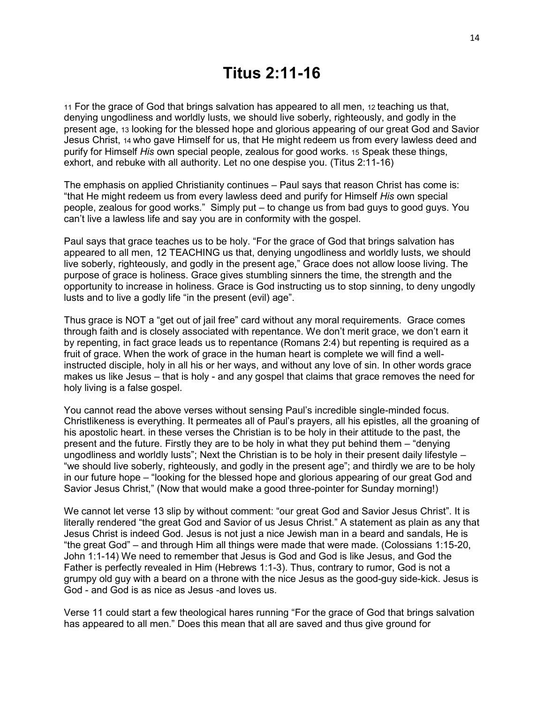## **Titus 2:11-16**

11 For the grace of God that brings salvation has appeared to all men, 12 teaching us that, denying ungodliness and worldly lusts, we should live soberly, righteously, and godly in the present age, 13 looking for the blessed hope and glorious appearing of our great God and Savior Jesus Christ, 14 who gave Himself for us, that He might redeem us from every lawless deed and purify for Himself *His* own special people, zealous for good works. 15 Speak these things, exhort, and rebuke with all authority. Let no one despise you. (Titus 2:11-16)

The emphasis on applied Christianity continues – Paul says that reason Christ has come is: "that He might redeem us from every lawless deed and purify for Himself *His* own special people, zealous for good works." Simply put – to change us from bad guys to good guys. You can't live a lawless life and say you are in conformity with the gospel.

Paul says that grace teaches us to be holy. "For the grace of God that brings salvation has appeared to all men, 12 TEACHING us that, denying ungodliness and worldly lusts, we should live soberly, righteously, and godly in the present age," Grace does not allow loose living. The purpose of grace is holiness. Grace gives stumbling sinners the time, the strength and the opportunity to increase in holiness. Grace is God instructing us to stop sinning, to deny ungodly lusts and to live a godly life "in the present (evil) age".

Thus grace is NOT a "get out of jail free" card without any moral requirements. Grace comes through faith and is closely associated with repentance. We don't merit grace, we don't earn it by repenting, in fact grace leads us to repentance (Romans 2:4) but repenting is required as a fruit of grace. When the work of grace in the human heart is complete we will find a wellinstructed disciple, holy in all his or her ways, and without any love of sin. In other words grace makes us like Jesus – that is holy - and any gospel that claims that grace removes the need for holy living is a false gospel.

You cannot read the above verses without sensing Paul's incredible single-minded focus. Christlikeness is everything. It permeates all of Paul's prayers, all his epistles, all the groaning of his apostolic heart. in these verses the Christian is to be holy in their attitude to the past, the present and the future. Firstly they are to be holy in what they put behind them – "denying ungodliness and worldly lusts"; Next the Christian is to be holy in their present daily lifestyle – "we should live soberly, righteously, and godly in the present age"; and thirdly we are to be holy in our future hope – "looking for the blessed hope and glorious appearing of our great God and Savior Jesus Christ," (Now that would make a good three-pointer for Sunday morning!)

We cannot let verse 13 slip by without comment: "our great God and Savior Jesus Christ". It is literally rendered "the great God and Savior of us Jesus Christ." A statement as plain as any that Jesus Christ is indeed God. Jesus is not just a nice Jewish man in a beard and sandals, He is "the great God" – and through Him all things were made that were made. (Colossians 1:15-20, John 1:1-14) We need to remember that Jesus is God and God is like Jesus, and God the Father is perfectly revealed in Him (Hebrews 1:1-3). Thus, contrary to rumor, God is not a grumpy old guy with a beard on a throne with the nice Jesus as the good-guy side-kick. Jesus is God - and God is as nice as Jesus -and loves us.

Verse 11 could start a few theological hares running "For the grace of God that brings salvation has appeared to all men." Does this mean that all are saved and thus give ground for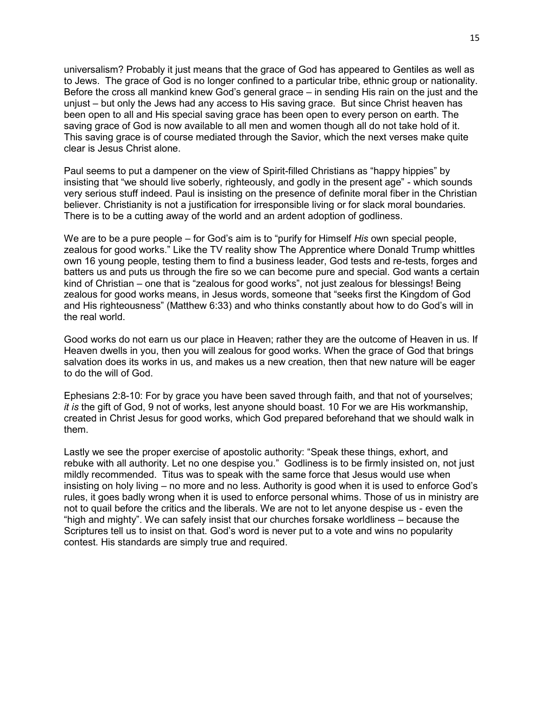universalism? Probably it just means that the grace of God has appeared to Gentiles as well as to Jews. The grace of God is no longer confined to a particular tribe, ethnic group or nationality. Before the cross all mankind knew God's general grace – in sending His rain on the just and the unjust – but only the Jews had any access to His saving grace. But since Christ heaven has been open to all and His special saving grace has been open to every person on earth. The saving grace of God is now available to all men and women though all do not take hold of it. This saving grace is of course mediated through the Savior, which the next verses make quite clear is Jesus Christ alone.

Paul seems to put a dampener on the view of Spirit-filled Christians as "happy hippies" by insisting that "we should live soberly, righteously, and godly in the present age" - which sounds very serious stuff indeed. Paul is insisting on the presence of definite moral fiber in the Christian believer. Christianity is not a justification for irresponsible living or for slack moral boundaries. There is to be a cutting away of the world and an ardent adoption of godliness.

We are to be a pure people – for God's aim is to "purify for Himself *His* own special people, zealous for good works." Like the TV reality show The Apprentice where Donald Trump whittles own 16 young people, testing them to find a business leader, God tests and re-tests, forges and batters us and puts us through the fire so we can become pure and special. God wants a certain kind of Christian – one that is "zealous for good works", not just zealous for blessings! Being zealous for good works means, in Jesus words, someone that "seeks first the Kingdom of God and His righteousness" (Matthew 6:33) and who thinks constantly about how to do God's will in the real world.

Good works do not earn us our place in Heaven; rather they are the outcome of Heaven in us. If Heaven dwells in you, then you will zealous for good works. When the grace of God that brings salvation does its works in us, and makes us a new creation, then that new nature will be eager to do the will of God.

Ephesians 2:8-10: For by grace you have been saved through faith, and that not of yourselves; *it is* the gift of God, 9 not of works, lest anyone should boast. 10 For we are His workmanship, created in Christ Jesus for good works, which God prepared beforehand that we should walk in them.

Lastly we see the proper exercise of apostolic authority: "Speak these things, exhort, and rebuke with all authority. Let no one despise you." Godliness is to be firmly insisted on, not just mildly recommended. Titus was to speak with the same force that Jesus would use when insisting on holy living – no more and no less. Authority is good when it is used to enforce God's rules, it goes badly wrong when it is used to enforce personal whims. Those of us in ministry are not to quail before the critics and the liberals. We are not to let anyone despise us - even the "high and mighty". We can safely insist that our churches forsake worldliness – because the Scriptures tell us to insist on that. God's word is never put to a vote and wins no popularity contest. His standards are simply true and required.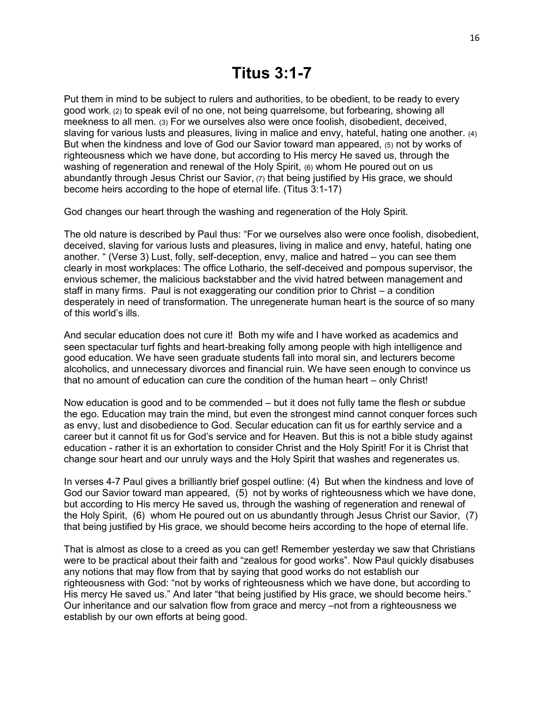Put them in mind to be subject to rulers and authorities, to be obedient, to be ready to every good work, (2) to speak evil of no one, not being quarrelsome, but forbearing, showing all meekness to all men. (3) For we ourselves also were once foolish, disobedient, deceived, slaving for various lusts and pleasures, living in malice and envy, hateful, hating one another. (4) But when the kindness and love of God our Savior toward man appeared, (5) not by works of righteousness which we have done, but according to His mercy He saved us, through the washing of regeneration and renewal of the Holy Spirit, (6) whom He poured out on us abundantly through Jesus Christ our Savior, (7) that being justified by His grace, we should become heirs according to the hope of eternal life. (Titus 3:1-17)

God changes our heart through the washing and regeneration of the Holy Spirit.

The old nature is described by Paul thus: "For we ourselves also were once foolish, disobedient, deceived, slaving for various lusts and pleasures, living in malice and envy, hateful, hating one another. " (Verse 3) Lust, folly, self-deception, envy, malice and hatred – you can see them clearly in most workplaces: The office Lothario, the self-deceived and pompous supervisor, the envious schemer, the malicious backstabber and the vivid hatred between management and staff in many firms. Paul is not exaggerating our condition prior to Christ – a condition desperately in need of transformation. The unregenerate human heart is the source of so many of this world's ills.

And secular education does not cure it! Both my wife and I have worked as academics and seen spectacular turf fights and heart-breaking folly among people with high intelligence and good education. We have seen graduate students fall into moral sin, and lecturers become alcoholics, and unnecessary divorces and financial ruin. We have seen enough to convince us that no amount of education can cure the condition of the human heart – only Christ!

Now education is good and to be commended – but it does not fully tame the flesh or subdue the ego. Education may train the mind, but even the strongest mind cannot conquer forces such as envy, lust and disobedience to God. Secular education can fit us for earthly service and a career but it cannot fit us for God's service and for Heaven. But this is not a bible study against education - rather it is an exhortation to consider Christ and the Holy Spirit! For it is Christ that change sour heart and our unruly ways and the Holy Spirit that washes and regenerates us.

In verses 4-7 Paul gives a brilliantly brief gospel outline: (4) But when the kindness and love of God our Savior toward man appeared, (5) not by works of righteousness which we have done, but according to His mercy He saved us, through the washing of regeneration and renewal of the Holy Spirit, (6) whom He poured out on us abundantly through Jesus Christ our Savior, (7) that being justified by His grace, we should become heirs according to the hope of eternal life.

That is almost as close to a creed as you can get! Remember yesterday we saw that Christians were to be practical about their faith and "zealous for good works". Now Paul quickly disabuses any notions that may flow from that by saying that good works do not establish our righteousness with God: "not by works of righteousness which we have done, but according to His mercy He saved us." And later "that being justified by His grace, we should become heirs." Our inheritance and our salvation flow from grace and mercy –not from a righteousness we establish by our own efforts at being good.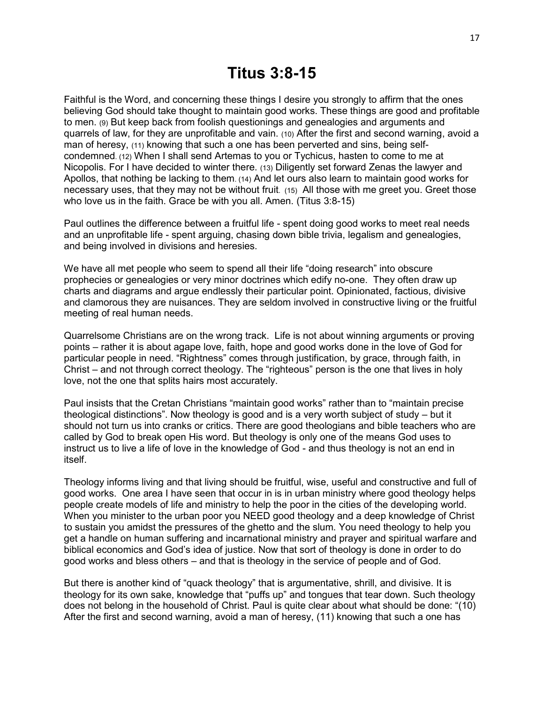Faithful is the Word, and concerning these things I desire you strongly to affirm that the ones believing God should take thought to maintain good works. These things are good and profitable to men. (9) But keep back from foolish questionings and genealogies and arguments and quarrels of law, for they are unprofitable and vain. (10) After the first and second warning, avoid a man of heresy, (11) knowing that such a one has been perverted and sins, being selfcondemned. (12) When I shall send Artemas to you or Tychicus, hasten to come to me at Nicopolis. For I have decided to winter there. (13) Diligently set forward Zenas the lawyer and Apollos, that nothing be lacking to them. (14) And let ours also learn to maintain good works for necessary uses, that they may not be without fruit. (15) All those with me greet you. Greet those who love us in the faith. Grace be with you all. Amen. (Titus 3:8-15)

Paul outlines the difference between a fruitful life - spent doing good works to meet real needs and an unprofitable life - spent arguing, chasing down bible trivia, legalism and genealogies, and being involved in divisions and heresies.

We have all met people who seem to spend all their life "doing research" into obscure prophecies or genealogies or very minor doctrines which edify no-one. They often draw up charts and diagrams and argue endlessly their particular point. Opinionated, factious, divisive and clamorous they are nuisances. They are seldom involved in constructive living or the fruitful meeting of real human needs.

Quarrelsome Christians are on the wrong track. Life is not about winning arguments or proving points – rather it is about agape love, faith, hope and good works done in the love of God for particular people in need. "Rightness" comes through justification, by grace, through faith, in Christ – and not through correct theology. The "righteous" person is the one that lives in holy love, not the one that splits hairs most accurately.

Paul insists that the Cretan Christians "maintain good works" rather than to "maintain precise theological distinctions". Now theology is good and is a very worth subject of study – but it should not turn us into cranks or critics. There are good theologians and bible teachers who are called by God to break open His word. But theology is only one of the means God uses to instruct us to live a life of love in the knowledge of God - and thus theology is not an end in itself.

Theology informs living and that living should be fruitful, wise, useful and constructive and full of good works. One area I have seen that occur in is in urban ministry where good theology helps people create models of life and ministry to help the poor in the cities of the developing world. When you minister to the urban poor you NEED good theology and a deep knowledge of Christ to sustain you amidst the pressures of the ghetto and the slum. You need theology to help you get a handle on human suffering and incarnational ministry and prayer and spiritual warfare and biblical economics and God's idea of justice. Now that sort of theology is done in order to do good works and bless others – and that is theology in the service of people and of God.

But there is another kind of "quack theology" that is argumentative, shrill, and divisive. It is theology for its own sake, knowledge that "puffs up" and tongues that tear down. Such theology does not belong in the household of Christ. Paul is quite clear about what should be done: "(10) After the first and second warning, avoid a man of heresy, (11) knowing that such a one has